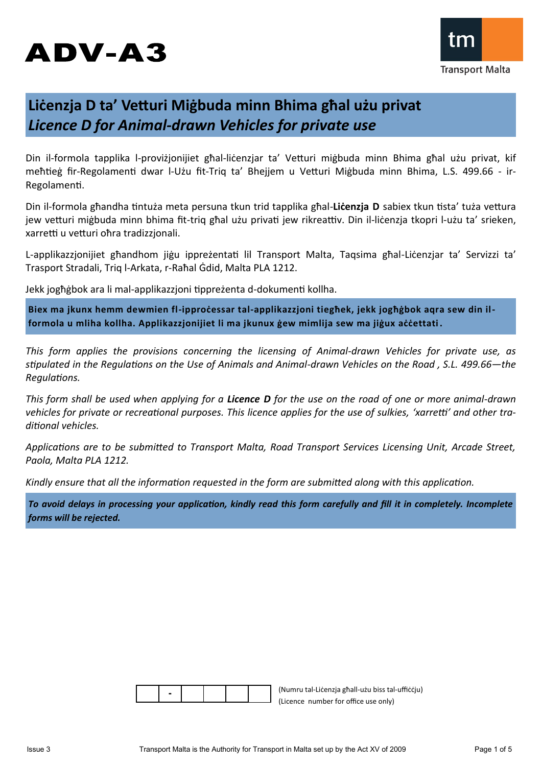# ADV-A3



## **Liċenzja D ta' Vetturi Miġbuda minn Bhima għal użu privat** *Licence D for Animal-drawn Vehicles for private use*

Din il-formola tapplika l-proviżjonijiet għal-liċenzjar ta' Vetturi miġbuda minn Bhima għal użu privat, kif meħtieġ fir-Regolamenti dwar l-Użu fit-Triq ta' Bhejjem u Vetturi Miġbuda minn Bhima, L.S. 499.66 - ir-Regolamenti.

Din il-formola għandha tintuża meta persuna tkun trid tapplika għal-**Liċenzja D** sabiex tkun tista' tuża vettura jew vetturi miġbuda minn bhima fit-triq għal użu privati jew rikreattiv. Din il-liċenzja tkopri l-użu ta' srieken, xarretti u vetturi oħra tradizzjonali.

L-applikazzjonijiet għandhom jiġu ippreżentati lil Transport Malta, Taqsima għal-Liċenzjar ta' Servizzi ta' Trasport Stradali, Triq l-Arkata, r-Raħal Ġdid, Malta PLA 1212.

Jekk jogħġbok ara li mal-applikazzjoni tippreżenta d-dokumenti kollha.

**Biex ma jkunx hemm dewmien fl-ipproċessar tal-applikazzjoni tiegħek, jekk jogħġbok aqra sew din ilformola u mliha kollha. Applikazzjonijiet li ma jkunux ġew mimlija sew ma jiġux aċċettati .**

*This form applies the provisions concerning the licensing of Animal-drawn Vehicles for private use, as stipulated in the Regulations on the Use of Animals and Animal-drawn Vehicles on the Road , S.L. 499.66—the Regulations.*

*This form shall be used when applying for a Licence D for the use on the road of one or more animal-drawn vehicles for private or recreational purposes. This licence applies for the use of sulkies, 'xarretti' and other traditional vehicles.*

*Applications are to be submitted to Transport Malta, Road Transport Services Licensing Unit, Arcade Street, Paola, Malta PLA 1212.*

*Kindly ensure that all the information requested in the form are submitted along with this application.* 

*To avoid delays in processing your application, kindly read this form carefully and fill it in completely. Incomplete forms will be rejected.*

|--|

(Numru tal-Liċenzja għall-użu biss tal-uffiċċju) (Licence number for office use only)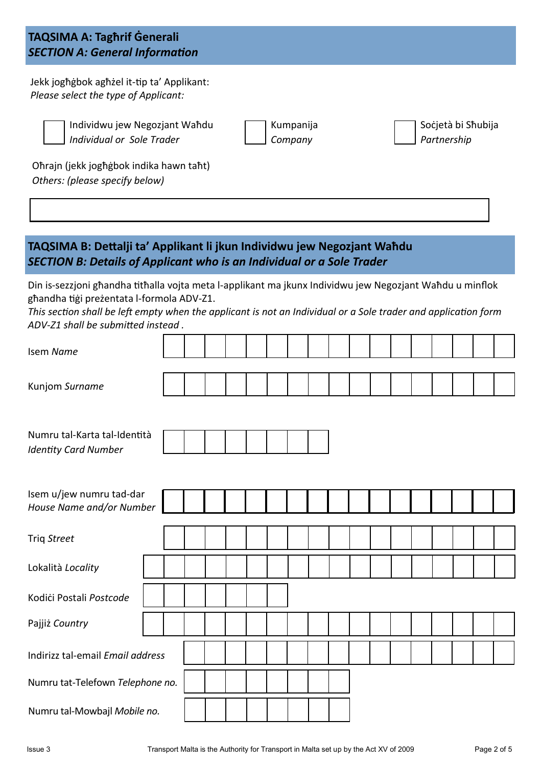## **TAQSIMA A: Tagħrif Ġenerali** *SECTION A: General Information*

Jekk jogħġbok agħżel it-tip ta' Applikant: *Please select the type of Applicant:*

Individwu jew Negozjant Waħdu *Individual or Sole Trader*

| Kumpanija |
|-----------|
| Company   |

Soċjetà bi Sħubija *Partnership*

Oħrajn (jekk jogħġbok indika hawn taħt) *Others: (please specify below)*

## **TAQSIMA B: Dettalji ta' Applikant li jkun Individwu jew Negozjant Waħdu** *SECTION B: Details of Applicant who is an Individual or a Sole Trader*

Din is-sezzjoni għandha titħalla vojta meta l-applikant ma jkunx Individwu jew Negozjant Waħdu u minflok għandha tiġi preżentata l-formola ADV-Z1.

*This section shall be left empty when the applicant is not an Individual or a Sole trader and application form ADV-Z1 shall be submitted instead .* 

| Isem Name                                                   |  |  |  |  |  |  |  |  |  |  |  |  |
|-------------------------------------------------------------|--|--|--|--|--|--|--|--|--|--|--|--|
| Kunjom Surname                                              |  |  |  |  |  |  |  |  |  |  |  |  |
| Numru tal-Karta tal-Identità<br><b>Identity Card Number</b> |  |  |  |  |  |  |  |  |  |  |  |  |
| Isem u/jew numru tad-dar<br>House Name and/or Number        |  |  |  |  |  |  |  |  |  |  |  |  |
| Triq Street                                                 |  |  |  |  |  |  |  |  |  |  |  |  |
| Lokalità Locality                                           |  |  |  |  |  |  |  |  |  |  |  |  |
| Kodići Postali Postcode                                     |  |  |  |  |  |  |  |  |  |  |  |  |
| Pajjiż Country                                              |  |  |  |  |  |  |  |  |  |  |  |  |
| Indirizz tal-email Email address                            |  |  |  |  |  |  |  |  |  |  |  |  |
| Numru tat-Telefown Telephone no.                            |  |  |  |  |  |  |  |  |  |  |  |  |
| Numru tal-Mowbajl Mobile no.                                |  |  |  |  |  |  |  |  |  |  |  |  |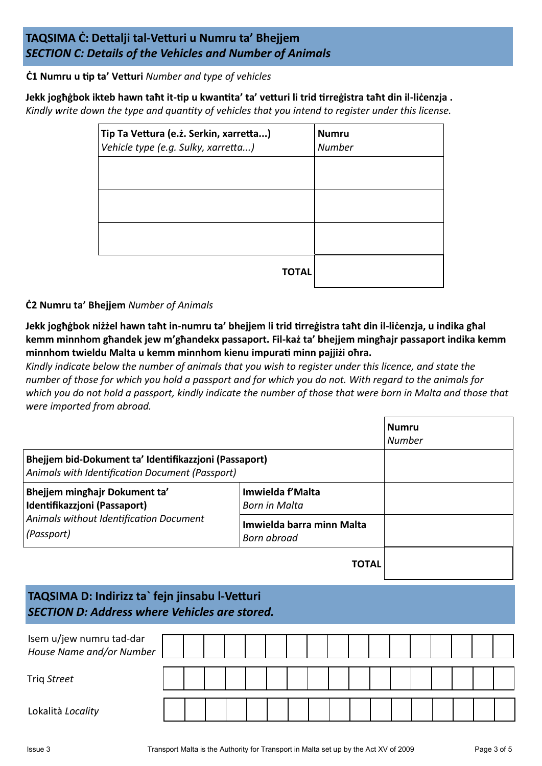## **TAQSIMA Ċ: Dettalji tal-Vetturi u Numru ta' Bhejjem** *SECTION C: Details of the Vehicles and Number of Animals*

**Ċ1 Numru u tip ta' Vetturi** *Number and type of vehicles*

**Jekk jogħġbok ikteb hawn taħt it-tip u kwantita' ta' vetturi li trid tirreġistra taħt din il-liċenzja .** *Kindly write down the type and quantity of vehicles that you intend to register under this license.*

| Tip Ta Vettura (e.ż. Serkin, xarretta)<br>Vehicle type (e.g. Sulky, xarretta) | <b>Numru</b><br><b>Number</b> |
|-------------------------------------------------------------------------------|-------------------------------|
|                                                                               |                               |
|                                                                               |                               |
|                                                                               |                               |
| ΓΟΤΑΙ                                                                         |                               |

### **Ċ2 Numru ta' Bhejjem** *Number of Animals*

**Jekk jogħġbok niżżel hawn taħt in-numru ta' bhejjem li trid tirreġistra taħt din il-liċenzja, u indika għal kemm minnhom għandek jew m'għandekx passaport. Fil-każ ta' bhejjem mingħajr passaport indika kemm minnhom twieldu Malta u kemm minnhom kienu impurati minn pajjiżi oħra.** 

*Kindly indicate below the number of animals that you wish to register under this licence, and state the number of those for which you hold a passport and for which you do not. With regard to the animals for which you do not hold a passport, kindly indicate the number of those that were born in Malta and those that were imported from abroad.*

|                                                                                                          |                                          |  |              | <b>Numru</b><br><b>Number</b> |  |  |  |
|----------------------------------------------------------------------------------------------------------|------------------------------------------|--|--------------|-------------------------------|--|--|--|
| Bhejjem bid-Dokument ta' Identifikazzjoni (Passaport)<br>Animals with Identification Document (Passport) |                                          |  |              |                               |  |  |  |
| Bhejjem minghajr Dokument ta'<br>Identifikazzjoni (Passaport)                                            | Imwielda f'Malta<br>Born in Malta        |  |              |                               |  |  |  |
| Animals without Identification Document<br>(Passport)                                                    | Imwielda barra minn Malta<br>Born abroad |  |              |                               |  |  |  |
|                                                                                                          |                                          |  | <b>TOTAL</b> |                               |  |  |  |
| TAQSIMA D: Indirizz ta`fejn jinsabu l-Vetturi<br><b>SECTION D: Address where Vehicles are stored.</b>    |                                          |  |              |                               |  |  |  |
| Isem u/jew numru tad-dar<br>House Name and/or Number                                                     |                                          |  |              |                               |  |  |  |
| Triq Street                                                                                              |                                          |  |              |                               |  |  |  |

Lokalità *Locality*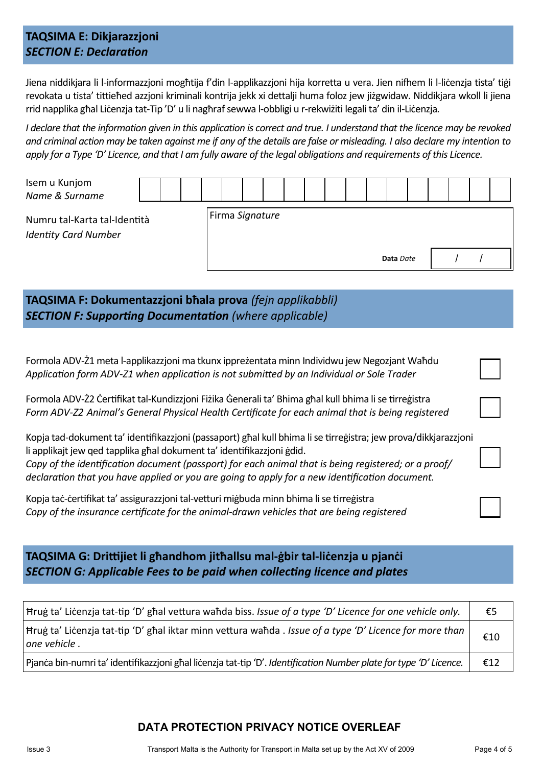## **TAQSIMA E: Dikjarazzjoni** *SECTION E: Declaration*

Jiena niddikjara li l-informazzjoni mogħtija f'din l-applikazzjoni hija korretta u vera. Jien nifhem li l-liċenzja tista' tiġi revokata u tista' tittieħed azzjoni kriminali kontrija jekk xi dettalji huma foloz jew jiżgwidaw. Niddikjara wkoll li jiena rrid napplika għal Liċenzja tat-Tip 'D' u li nagħraf sewwa l-obbligi u r-rekwiżiti legali ta' din il-Liċenzja*.*

*I declare that the information given in this application is correct and true. I understand that the licence may be revoked and criminal action may be taken against me if any of the details are false or misleading. I also declare my intention to apply for a Type 'D' Licence, and that I am fully aware of the legal obligations and requirements of this Licence.*

| Isem u Kunjom<br>Name & Surname                             |  |  |  |  |                 |  |  |  |  |  |  |  |           |  |  |  |
|-------------------------------------------------------------|--|--|--|--|-----------------|--|--|--|--|--|--|--|-----------|--|--|--|
| Numru tal-Karta tal-Identità<br><b>Identity Card Number</b> |  |  |  |  | Firma Signature |  |  |  |  |  |  |  |           |  |  |  |
|                                                             |  |  |  |  |                 |  |  |  |  |  |  |  | Data Date |  |  |  |

**TAQSIMA F: Dokumentazzjoni bħala prova** *(fejn applikabbli) SECTION F: Supporting Documentation (where applicable)*

Formola ADV-Ż1 meta l-applikazzjoni ma tkunx ippreżentata minn Individwu jew Negozjant Waħdu *Application form ADV-Z1 when application is not submitted by an Individual or Sole Trader*

| Formola ADV-Ż2 Certifikat tal-Kundizzjoni Fizika Generali ta' Bhima ghal kull bhima li se tirregistra |
|-------------------------------------------------------------------------------------------------------|
| Form ADV-Z2 Animal's General Physical Health Certificate for each animal that is being registered     |

Kopja tad-dokument ta' identifikazzjoni (passaport) għal kull bhima li se tirreġistra; jew prova/dikkjarazzjoni li applikajt jew qed tapplika għal dokument ta' identifikazzjoni ġdid. *Copy of the identification document (passport) for each animal that is being registered; or a proof/ declaration that you have applied or you are going to apply for a new identification document.*

Kopja taċ-ċertifikat ta' assigurazzjoni tal-vetturi miġbuda minn bhima li se tirreġistra *Copy of the insurance certificate for the animal-drawn vehicles that are being registered*

**TAQSIMA G: Drittijiet li għandhom jitħallsu mal-ġbir tal-liċenzja u pjanċi** *SECTION G: Applicable Fees to be paid when collecting licence and plates*

| Hrug ta' Licenzja tat-tip 'D' ghal vettura wahda biss. Issue of a type 'D' Licence for one vehicle only.                | €5  |
|-------------------------------------------------------------------------------------------------------------------------|-----|
| Hrug ta' Licenzja tat-tip 'D' ghal iktar minn vettura wahda . Issue of a type 'D' Licence for more than<br>one vehicle. | €10 |
| Pjanca bin-numri ta' identifikazzjoni ghal licenzja tat-tip 'D'. Identification Number plate for type 'D' Licence.      | €12 |

## **DATA PROTECTION PRIVACY NOTICE OVERLEAF**